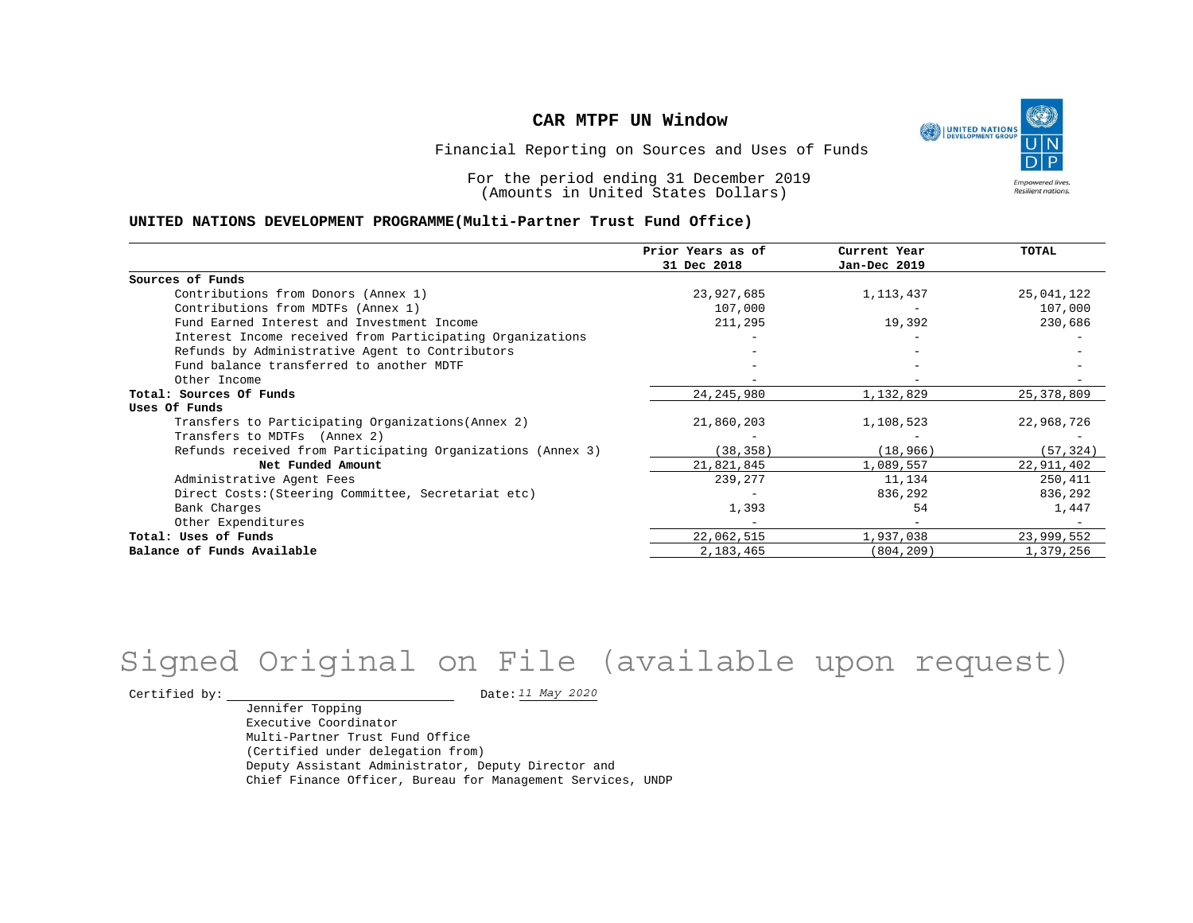

Financial Reporting on Sources and Uses of Funds

For the period ending 31 December 2019 (Amounts in United States Dollars)

#### **UNITED NATIONS DEVELOPMENT PROGRAMME(Multi-Partner Trust Fund Office)**

|                                                             | Prior Years as of | Current Year | TOTAL      |
|-------------------------------------------------------------|-------------------|--------------|------------|
|                                                             | 31 Dec 2018       | Jan-Dec 2019 |            |
| Sources of Funds                                            |                   |              |            |
| Contributions from Donors (Annex 1)                         | 23,927,685        | 1,113,437    | 25,041,122 |
| Contributions from MDTFs (Annex 1)                          | 107,000           |              | 107,000    |
| Fund Earned Interest and Investment Income                  | 211,295           | 19,392       | 230,686    |
| Interest Income received from Participating Organizations   |                   |              |            |
| Refunds by Administrative Agent to Contributors             |                   |              |            |
| Fund balance transferred to another MDTF                    |                   |              |            |
| Other Income                                                |                   |              |            |
| Total: Sources Of Funds                                     | 24, 245, 980      | 1,132,829    | 25,378,809 |
| Uses Of Funds                                               |                   |              |            |
| Transfers to Participating Organizations (Annex 2)          | 21,860,203        | 1,108,523    | 22,968,726 |
| Transfers to MDTFs (Annex 2)                                |                   |              |            |
| Refunds received from Participating Organizations (Annex 3) | (38, 358)         | (18, 966)    | (57, 324)  |
| Net Funded Amount                                           | 21,821,845        | 1,089,557    | 22,911,402 |
| Administrative Agent Fees                                   | 239,277           | 11,134       | 250,411    |
| Direct Costs: (Steering Committee, Secretariat etc)         |                   | 836,292      | 836,292    |
| Bank Charges                                                | 1,393             | 54           | 1,447      |
| Other Expenditures                                          |                   |              |            |
| Total: Uses of Funds                                        | 22,062,515        | 1,937,038    | 23,999,552 |
| Balance of Funds Available                                  | 2,183,465         | (804, 209)   | 1,379,256  |

## Signed Original on File (available upon request)

Certified by:  $\frac{11 May 2020}{100}$ 

Jennifer Topping Executive Coordinator Multi-Partner Trust Fund Office (Certified under delegation from) Deputy Assistant Administrator, Deputy Director and Chief Finance Officer, Bureau for Management Services, UNDP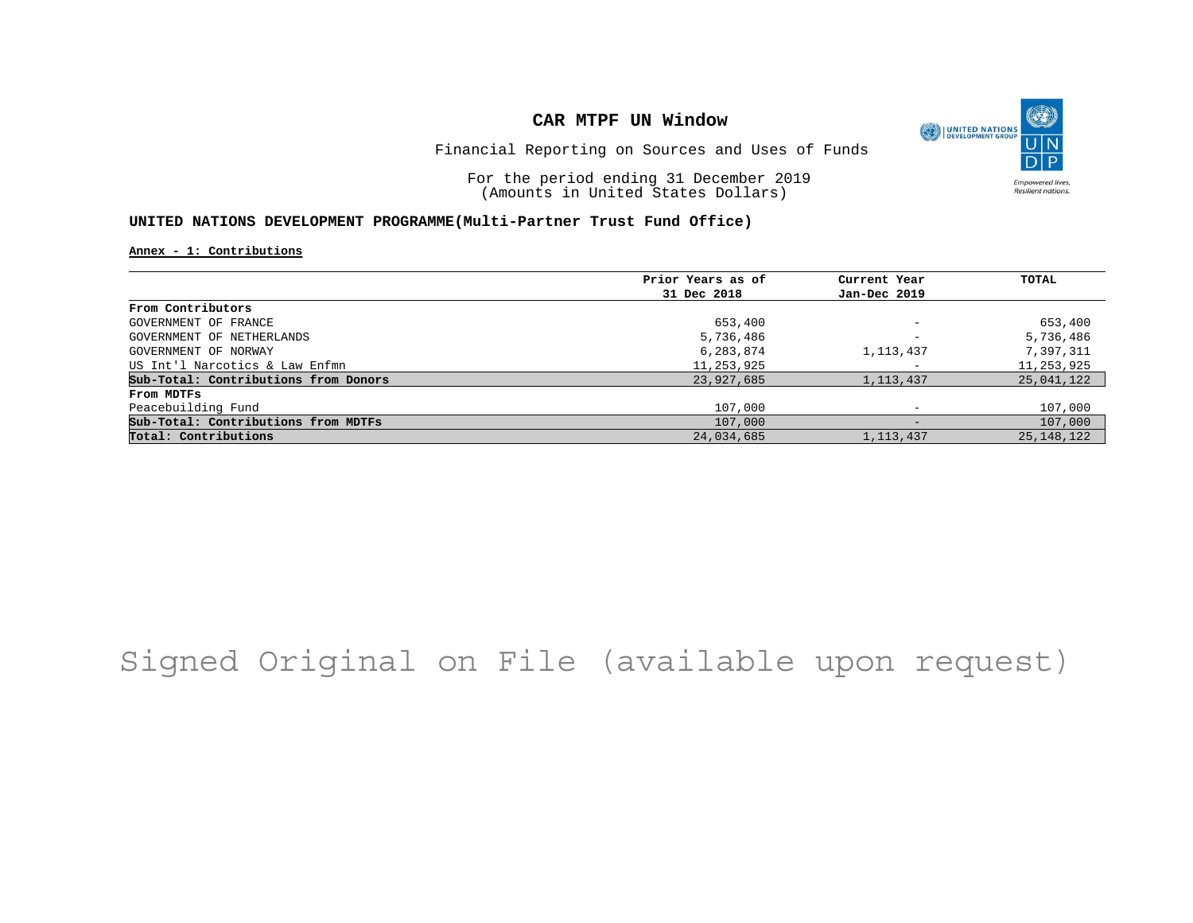

Financial Reporting on Sources and Uses of Funds

For the period ending 31 December 2019 (Amounts in United States Dollars)

#### **UNITED NATIONS DEVELOPMENT PROGRAMME(Multi-Partner Trust Fund Office)**

**Annex - 1: Contributions**

|                                      | Prior Years as of | Current Year             | TOTAL        |
|--------------------------------------|-------------------|--------------------------|--------------|
|                                      | 31 Dec 2018       | Jan-Dec 2019             |              |
| From Contributors                    |                   |                          |              |
| GOVERNMENT OF FRANCE                 | 653,400           | $\overline{\phantom{a}}$ | 653,400      |
| GOVERNMENT OF NETHERLANDS            | 5,736,486         | $\overline{\phantom{a}}$ | 5,736,486    |
| GOVERNMENT OF NORWAY                 | 6,283,874         | 1, 113, 437              | 7,397,311    |
| US Int'l Narcotics & Law Enfmn       | 11,253,925        |                          | 11,253,925   |
| Sub-Total: Contributions from Donors | 23,927,685        | 1, 113, 437              | 25,041,122   |
| From MDTFs                           |                   |                          |              |
| Peacebuilding Fund                   | 107,000           |                          | 107,000      |
| Sub-Total: Contributions from MDTFs  | 107,000           | $-$                      | 107,000      |
| Total: Contributions                 | 24,034,685        | 1, 113, 437              | 25, 148, 122 |

## Signed Original on File (available upon request)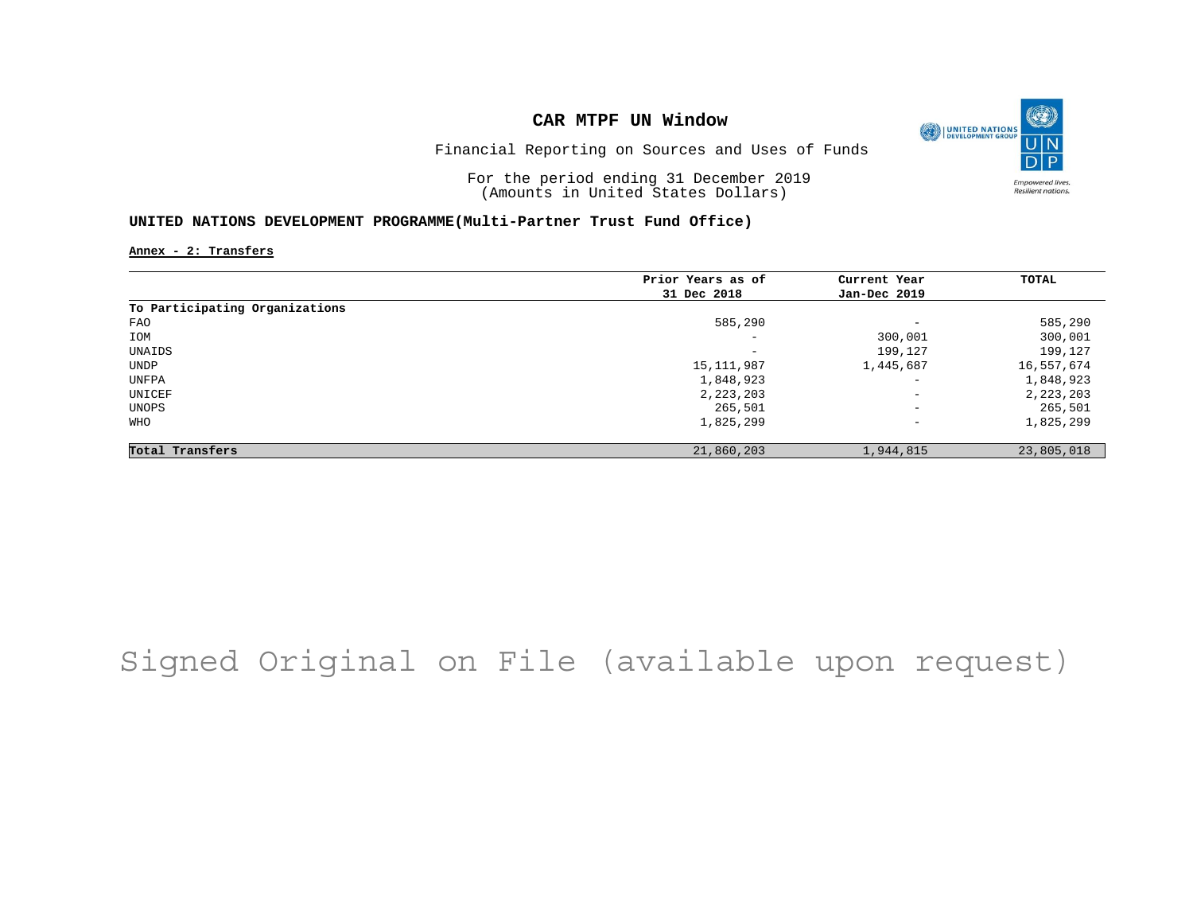

Financial Reporting on Sources and Uses of Funds

For the period ending 31 December 2019 (Amounts in United States Dollars)

#### **UNITED NATIONS DEVELOPMENT PROGRAMME(Multi-Partner Trust Fund Office)**

**Annex - 2: Transfers**

|                                | Prior Years as of | Current Year             | TOTAL      |
|--------------------------------|-------------------|--------------------------|------------|
|                                | 31 Dec 2018       | Jan-Dec 2019             |            |
| To Participating Organizations |                   |                          |            |
| FAO                            | 585,290           | $\overline{\phantom{a}}$ | 585,290    |
| IOM                            | -                 | 300,001                  | 300,001    |
| UNAIDS                         | -                 | 199,127                  | 199,127    |
| UNDP                           | 15,111,987        | 1,445,687                | 16,557,674 |
| UNFPA                          | 1,848,923         | $\overline{\phantom{a}}$ | 1,848,923  |
| UNICEF                         | 2, 223, 203       | $\qquad \qquad -$        | 2,223,203  |
| UNOPS                          | 265,501           | $\qquad \qquad -$        | 265,501    |
| WHO                            | 1,825,299         | $\qquad \qquad -$        | 1,825,299  |
| Total Transfers                | 21,860,203        | 1,944,815                | 23,805,018 |

## Signed Original on File (available upon request)